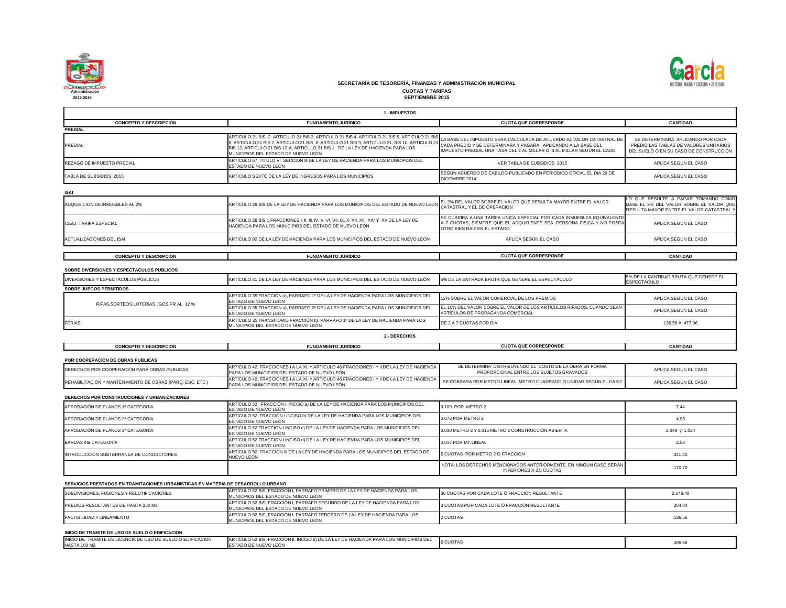

|                                                                                   | 1.- IMPUESTOS                                                                                                                                                                                                                                                                                                         |                                                                                                                                                                                                                               |                                                                                                |
|-----------------------------------------------------------------------------------|-----------------------------------------------------------------------------------------------------------------------------------------------------------------------------------------------------------------------------------------------------------------------------------------------------------------------|-------------------------------------------------------------------------------------------------------------------------------------------------------------------------------------------------------------------------------|------------------------------------------------------------------------------------------------|
| <b>CONCEPTO Y DESCRIPCION</b>                                                     | <b>FUNDAMENTO JURÍDICO</b>                                                                                                                                                                                                                                                                                            | <b>CUOTA QUE CORRESPONDE</b>                                                                                                                                                                                                  | <b>CANTIDAD</b>                                                                                |
| <b>PREDIAL</b>                                                                    |                                                                                                                                                                                                                                                                                                                       |                                                                                                                                                                                                                               |                                                                                                |
| <b>PREDIAL</b>                                                                    | ARTÍCULO 21 BIS -2. ARTICULO 21 BIS 3, ARTICULO 21 BIS 4, ARTICULO 21 BIS 5, ARTICULO 21 BIS<br>6, ARTICULO 21 BIS 7, ARTICULO 21 BIS 8, ARTICULO 21 BIS 9, ARTICULO 21, BIS 10, ARTICULO 21<br>BIS 12, ARTICULO 21 BIS 12-A, ARTICULO 21 BIS 1 DE LA LEY DE HACIENDA PARA LOS<br>MUNICIPIOS DEL ESTADO DE NUEVO LEÓN | LA BASE DEL IMPUESTO SERA CALCULADA DE ACUERDO AL VALOR CATASTRAL DE<br><sup>1</sup> CADA PREDIO Y SE DETERMINARA Y PAGARA, APLICANDO A LA BASE DEL<br>IMPUESTO PREDIAL UNA TASA DEL 2 AL MILLAR Ó 3 AL MILLAR SEGÚN EL CASO. | SE DETERMINARA APLICANDO P<br>PREDIO LAS TABLAS DE VALORES<br>DEL SUELO O EN SU CASO DE CON    |
| <b>REZAGO DE IMPUESTO PREDIAL</b>                                                 | ARTICULO 67 TITULO VI SECCION III DE LA LEY DE HACIENDA PARA LOS MUNICIPIOS DEL<br><b>ESTADO DE NUEVO LEON</b>                                                                                                                                                                                                        | VER TABLA DE SUBSIDIOS 2015                                                                                                                                                                                                   | APLICA SEGÚN EL CASC                                                                           |
| TABLA DE SUBSIDIOS 2015                                                           | ARTICULO SEXTO DE LA LEY DE INGRESOS PARA LOS MUNICIPIOS                                                                                                                                                                                                                                                              | SEGÚN ACUERDO DE CABILDO PUBLICADO EN PERIODICO OFICIAL EL DIA 29 DE<br>DICIEMBRE 2014                                                                                                                                        | APLICA SEGÚN EL CASC                                                                           |
| <b>ISAI</b>                                                                       |                                                                                                                                                                                                                                                                                                                       |                                                                                                                                                                                                                               |                                                                                                |
| ADQUISICION DE INMUEBLES AL 2%                                                    | ARTÍCULO 28 BIS DE LA LEY DE HACIENDA PARA LOS MUNICIPIOS DEL ESTADO DE NUEVO LEON CATASTRAL Y EL DE OPERACION                                                                                                                                                                                                        | EL 2% DEL VALOR SOBRE EL VALOR QUE RESULTA MAYOR ENTRE EL VALOR                                                                                                                                                               | LO QUE RESULTE A PAGAR TOM.<br>BASE EL 2% DEL VALOR SOBRE EL<br>RESULTA MAYOR ENTRE EL VALOR ( |
| <b>I.S.A.I. TARIFA ESPECIAL</b>                                                   | HACIENDA PARA LOS MUNICIPIOS DEL ESTADO DE NUEVO LEON                                                                                                                                                                                                                                                                 | SE CUBRIRA A UNA TARIFA UNICA ESPECIAL POR CADA INMUEBLES EQUIVALENTE<br>A 7 CUOTAS, SIEMPRE QUE EL ADQUIRIENTE SEA PERSONA FISICA Y NO POSEA<br>OTRO BIEN RAIZ EN EL ESTADO                                                  | APLICA SEGÚN EL CASC                                                                           |
| <b>ACTUALIZACIONES DEL ISAI</b>                                                   | ARTICULO 92 DE LA LEY DE HACIENDA PARA LOS MUNICIPIOS DEL ESTADO DE NUEVO LEON                                                                                                                                                                                                                                        | APLICA SEGÚN EL CASO                                                                                                                                                                                                          | APLICA SEGÚN EL CASC                                                                           |
| <b>CONCEPTO Y DESCRIPCION</b>                                                     | <b>FUNDAMENTO JURÍDICO</b>                                                                                                                                                                                                                                                                                            | <b>CUOTA QUE CORRESPONDE</b>                                                                                                                                                                                                  | <b>CANTIDAD</b>                                                                                |
|                                                                                   |                                                                                                                                                                                                                                                                                                                       |                                                                                                                                                                                                                               |                                                                                                |
| SOBRE DIVERSIONES Y ESPECTACULOS PUBLICOS                                         |                                                                                                                                                                                                                                                                                                                       |                                                                                                                                                                                                                               |                                                                                                |
| DIVERSIONES Y ESPECTÁCULOS PÚBLICOS                                               | ARTÍCULO 31 DE LA LEY DE HACIENDA PARA LOS MUNICIPIOS DEL ESTADO DE NUEVO LEÓN                                                                                                                                                                                                                                        | 5% DE LA ENTRADA BRUTA QUE GENERE EL ESPECTÁCULO                                                                                                                                                                              | 5% DE LA CANTIDAD BRUTA QUE GEI<br><b>ESPECTÁCULO</b>                                          |
| <b>SOBRE JUEGOS PERMITIDOS</b>                                                    | ARTÍCULO 35 FRACCIÓN a), PÁRRAFO 1º DE LA LEY DE HACIENDA PARA LOS MUNICIPIOS DEL                                                                                                                                                                                                                                     |                                                                                                                                                                                                                               |                                                                                                |
| RIFAS, SORTEOS, LOTERIAS JGOS. PR AL 12 %                                         | ESTADO DE NUEVO LEÓN                                                                                                                                                                                                                                                                                                  | 12% SOBRE EL VALOR COMERCIAL DE LOS PREMIOS                                                                                                                                                                                   | APLICA SEGÚN EL CASC                                                                           |
|                                                                                   | ARTÍCULO 35 FRACCIÓN a), PÁRRAFO 2º DE LA LEY DE HACIENDA PARA LOS MUNICIPIOS DEL<br>ESTADO DE NUEVO LEÓN                                                                                                                                                                                                             | EL 10% DEL VALOR SOBRE EL VALOR DE LOS ARTÍCULOS RIFADOS, CUANDO SEAN<br>ARTÍCULOS DE PROPAGANDA COMERCIAL                                                                                                                    | APLICA SEGÚN EL CASC                                                                           |
| <b>FERIAS</b>                                                                     | ARTÍCULO 35 TRANSITORIO FRACCIÓN b), PÁRRAFO 1º DE LA LEY DE HACIENDA PARA LOS<br>MUNICIPIOS DEL ESTADO DE NUEVO LEÓN                                                                                                                                                                                                 | DE 2 A 7 CUOTAS POR DÍA                                                                                                                                                                                                       | 136.56 A 477.96                                                                                |
|                                                                                   | 2.- DERECHOS                                                                                                                                                                                                                                                                                                          |                                                                                                                                                                                                                               |                                                                                                |
| <b>CONCEPTO Y DESCRIPCION</b>                                                     | <b>FUNDAMENTO JURÍDICO</b>                                                                                                                                                                                                                                                                                            | <b>CUOTA QUE CORRESPONDE</b>                                                                                                                                                                                                  | <b>CANTIDAD</b>                                                                                |
| <b>POR COOPERACION DE OBRAS PUBLICAS</b>                                          |                                                                                                                                                                                                                                                                                                                       |                                                                                                                                                                                                                               |                                                                                                |
| DERECHOS POR COOPERACIÓN PARA OBRAS PUBLICAS                                      | ARTÍCULO 42, FRACCIONES I A LA XI, Y ARTICULO 46 FRACCIONES I Y II DE LA LEY DE HACIENDA<br>PARA LOS MUNICIPIOS DEL ESTADO DE NUEVO LEÓN                                                                                                                                                                              | SE DETERMINA DISTRIBUYENDO EL COSTO DE LA OBRA EN FORMA<br>PROPORCIONAL ENTRE LOS SUJETOS GRAVADOS                                                                                                                            | APLICA SEGÚN EL CASC                                                                           |
| REHABILITACIÓN Y MANTENIMIENTO DE OBRAS (PARQ. ESC. ETC.)                         | ARTÍCULO 42, FRACCIONES I A LA XI, Y ARTICULO 46 FRACCIONES I Y II DE LA LEY DE HACIENDA<br>PARA LOS MUNICIPIOS DEL ESTADO DE NUEVO LEÓN                                                                                                                                                                              | SE COBRARA POR METRO LINEAL, METRO CUADRADO O UNIDAD SEGÚN EL CASO                                                                                                                                                            | APLICA SEGÚN EL CASO                                                                           |
| <b>DERECHOS POR CONSTRUCCIONES Y URBANIZACIONES</b>                               |                                                                                                                                                                                                                                                                                                                       |                                                                                                                                                                                                                               |                                                                                                |
| APROBACIÓN DE PLANOS 1ª CATEGORÍA                                                 | ARTÍCULO 52, FRACCIÓN I, INCISO a) DE LA LEY DE HACIENDA PARA LOS MUNICIPIOS DEL<br>ESTADO DE NUEVO LEÓN                                                                                                                                                                                                              | 0.109 POR METRO 2                                                                                                                                                                                                             | 7.44                                                                                           |
| APROBACIÓN DE PLANOS 2ª CATEGORÍA                                                 | ARTÍCULO 52 FRACCIÓN I INCISO b) DE LA LEY DE HACIENDA PARA LOS MUNICIPIOS DEL<br>ESTADO DE NUEVO LEÓN                                                                                                                                                                                                                | 0.073 POR METRO 2                                                                                                                                                                                                             | 4.98                                                                                           |
| APROBACIÓN DE PLANOS 3ª CATEGORÍA                                                 | ARTÍCULO 52 FRACCION I INCISO c) DE LA LEY DE HACIENDA PARA LOS MUNICIPIOS DEL<br>ESTADO DE NUEVO LEÓN                                                                                                                                                                                                                | 0.030 METRO 2 Y 0.015 METRO 2 CONSTRUCCIÓN ABIERTA                                                                                                                                                                            | 2.048 y 1.024                                                                                  |
| BARDAS 4ta CATEGORÍA                                                              | ARTÍCULO 52 FRACCION I INCISO d) DE LA LEY DE HACIENDA PARA LOS MUNICIPIOS DEL<br>ESTADO DE NUEVO LEÓN                                                                                                                                                                                                                | 0.037 POR MT.LINEAL                                                                                                                                                                                                           | 2.53                                                                                           |
| INTRODUCCIÓN SUBTERRANEA DE CONDUCTORES                                           | ARTÍCULO 52 FRACCIÓN III DE LA LEY DE HACIENDA PÁRA LOS MUNICIPIOS DEL ESTADO DE<br>NUEVO LEÓN                                                                                                                                                                                                                        | 5 CUOTAS POR METRO 2 O FRACCION                                                                                                                                                                                               | 341.40                                                                                         |
|                                                                                   |                                                                                                                                                                                                                                                                                                                       | NOTA: LOS DERECHOS MENCIONADOS ANTERIORMENTE, EN NINGÚN CASO SERÁN<br><b>INFERIORES A 2.5 CUOTAS</b>                                                                                                                          | 170.70                                                                                         |
| SERVICIOS PRESTADOS EN TRAMITACIONES URBANISTICAS EN MATERIA DE DESARROLLO URBANO |                                                                                                                                                                                                                                                                                                                       |                                                                                                                                                                                                                               |                                                                                                |
| SUBDIVISIONES, FUSIONES Y RELOTIFICACIONES                                        | ARTÍCULO 52 BIS, FRACCIÓN I, PÁRRAFO PRIMERO DE LA LEY DE HACIENDA PARA LOS<br>MUNICIPIOS DEL ESTADO DE NUEVO LEÓN                                                                                                                                                                                                    | 30 CUOTAS POR CADA LOTE Ó FRACCIÓN RESULTANTE                                                                                                                                                                                 | 2,048.40                                                                                       |
| <b>PREDIOS RESULTANTES DE HASTA 250 M2</b>                                        | ARTÍCULO 52 BIS, FRACCIÓN I, PÁRRAFO SEGUNDO DE LA LEY DE HACIENDA PARA LOS<br>MUNICIPIOS DEL ESTADO DE NUEVO LEÓN                                                                                                                                                                                                    | 3 CUOTAS POR CADA LOTE Ó FRACCIÓN RESULTANTE                                                                                                                                                                                  | 204.84                                                                                         |
| FACTIBILIDAD Y LINEAMIENTO                                                        | ARTÍCULO 52 BIS, FRACCIÓN I, PÁRRAFO TERCERO DE LA LEY DE HACIENDA PARA LOS<br>MUNICIPIOS DEL ESTADO DE NUEVO LEÓN                                                                                                                                                                                                    | 2 CUOTAS                                                                                                                                                                                                                      | 136.56                                                                                         |
| INICIO DE TRAMITE DE USO DE SUELO O EDIFICACION                                   |                                                                                                                                                                                                                                                                                                                       |                                                                                                                                                                                                                               |                                                                                                |
| INICIO DE TRAMITE DE LICENCIA DE USO DE SUELO O EDIFICACIÓN                       | ARTÍCULO 52 BIS, FRACCIÓN II, INCISO b) DE LA LEY DE HACIENDA PARA LOS MUNICIPIOS DEL                                                                                                                                                                                                                                 |                                                                                                                                                                                                                               |                                                                                                |
| <b>HASTA 100 M2</b>                                                               | ESTADO DE NUEVO LEÓN                                                                                                                                                                                                                                                                                                  | <b>6 CUOTAS</b>                                                                                                                                                                                                               | 409.68                                                                                         |





| <b>CUOTA QUE CORRESPONDE</b>                                                                                                                                                                                     | <b>CANTIDAD</b>                                                                                                            |
|------------------------------------------------------------------------------------------------------------------------------------------------------------------------------------------------------------------|----------------------------------------------------------------------------------------------------------------------------|
| LA BASE DEL IMPUESTO SERA CALCULADA DE ACUERDO AL VALOR CATASTRAL DE<br>CADA PREDIO Y SE DETERMINARA Y PAGARA, APLICANDO A LA BASE DEL<br>IMPUESTO PREDIAL UNA TASA DEL 2 AL MILLAR Ó 3 AL MILLAR SEGÚN EL CASO. | SE DETERMINARA APLICANDO POR CADA<br>PREDIO LAS TABLAS DE VALORES UNITARIOS<br>DEL SUELO O EN SU CASO DE CONSTRUCCION      |
| VER TABLA DE SUBSIDIOS 2015                                                                                                                                                                                      | APLICA SEGÚN EL CASO                                                                                                       |
| SEGÚN ACUERDO DE CABILDO PUBLICADO EN PERIODICO OFICIAL EL DIA 29 DE<br>DICIEMBRE 2014                                                                                                                           | APLICA SEGÚN EL CASO                                                                                                       |
|                                                                                                                                                                                                                  |                                                                                                                            |
| EL 2% DEL VALOR SOBRE EL VALOR QUE RESULTA MAYOR ENTRE EL VALOR<br>CATASTRAL Y EL DE OPERACION                                                                                                                   | LO QUE RESULTE A PAGAR TOMANDO COMO<br>BASE EL 2% DEL VALOR SOBRE EL VALOR QUE<br>RESULTA MAYOR ENTRE EL VALOR CATASTRAL Y |
| SE CUBRIRA A UNA TARIFA UNICA ESPECIAL POR CADA INMUEBLES EQUIVALENTE<br>A 7 CUOTAS, SIEMPRE QUE EL ADQUIRIENTE SEA PERSONA FISICA Y NO POSEA<br>OTRO BIEN RAIZ EN EL ESTADO                                     | APLICA SEGÚN EL CASO                                                                                                       |
| APLICA SEGÚN EL CASO                                                                                                                                                                                             | APLICA SEGÚN EL CASO                                                                                                       |
| <b>CUOTA QUE CORRESPONDE</b>                                                                                                                                                                                     | <b>CANTIDAD</b>                                                                                                            |
|                                                                                                                                                                                                                  |                                                                                                                            |
| 5% DE LA ENTRADA BRUTA QUE GENERE EL ESPECTÁCULO                                                                                                                                                                 | 5% DE LA CANTIDAD BRUTA QUE GENERE EL<br><b>ESPECTÁCULO</b>                                                                |
| 12% SOBRE EL VALOR COMERCIAL DE LOS PREMIOS                                                                                                                                                                      | APLICA SEGÚN EL CASO                                                                                                       |
| EL 10% DEL VALOR SOBRE EL VALOR DE LOS ARTÍCULOS RIFADOS, CUANDO SEAN                                                                                                                                            | APLICA SEGÚN EL CASO                                                                                                       |
| ARTÍCULOS DE PROPAGANDA COMERCIAL<br>DE 2 A 7 CUOTAS POR DIA                                                                                                                                                     | 136.56 A 477.96                                                                                                            |
|                                                                                                                                                                                                                  |                                                                                                                            |
| <b>CUOTA QUE CORRESPONDE</b>                                                                                                                                                                                     | <b>CANTIDAD</b>                                                                                                            |
|                                                                                                                                                                                                                  |                                                                                                                            |
| SE DETERMINA DISTRIBUYENDO EL COSTO DE LA OBRA EN FORMA<br>PROPORCIONAL ENTRE LOS SUJETOS GRAVADOS                                                                                                               | APLICA SEGÚN EL CASO                                                                                                       |
| SE COBRARA POR METRO LINEAL, METRO CUADRADO O UNIDAD SEGÚN EL CASO                                                                                                                                               | APLICA SEGÚN EL CASO                                                                                                       |
|                                                                                                                                                                                                                  |                                                                                                                            |
| 0.109 POR METRO 2                                                                                                                                                                                                | 7.44                                                                                                                       |
| 0.073 POR METRO 2                                                                                                                                                                                                | 4.98                                                                                                                       |
| 0.030 METRO 2 Y 0.015 METRO 2 CONSTRUCCIÓN ABIERTA                                                                                                                                                               | 2.048 y 1.024                                                                                                              |
| 0.037 POR MT.LINEAL                                                                                                                                                                                              | 2.53                                                                                                                       |
| 5 CUOTAS POR METRO 2 O FRACCION                                                                                                                                                                                  | 341.40                                                                                                                     |
| NOTA: LOS DERECHOS MENCIONADOS ANTERIORMENTE, EN NINGÚN CASO SERÁN<br><b>INFERIORES A 2.5 CUOTAS</b>                                                                                                             | 170.70                                                                                                                     |
|                                                                                                                                                                                                                  |                                                                                                                            |
| 30 CUOTAS POR CADA LOTE Ó FRACCIÓN RESULTANTE                                                                                                                                                                    | 2,048.40                                                                                                                   |
| 3 CUOTAS POR CADA LOTE Ó FRACCIÓN RESULTANTE                                                                                                                                                                     | 204.84                                                                                                                     |
| 2 CUOTAS                                                                                                                                                                                                         | 136.56                                                                                                                     |
|                                                                                                                                                                                                                  |                                                                                                                            |
| 6 CUOTAS                                                                                                                                                                                                         | 409.68                                                                                                                     |

**CUOTAS Y TARIFAS SEPTIEMBRE 2015**

# **SECRETARÍA DE TESORERÍA, FINANZAS Y ADMINISTRACIÓN MUNICIPAL**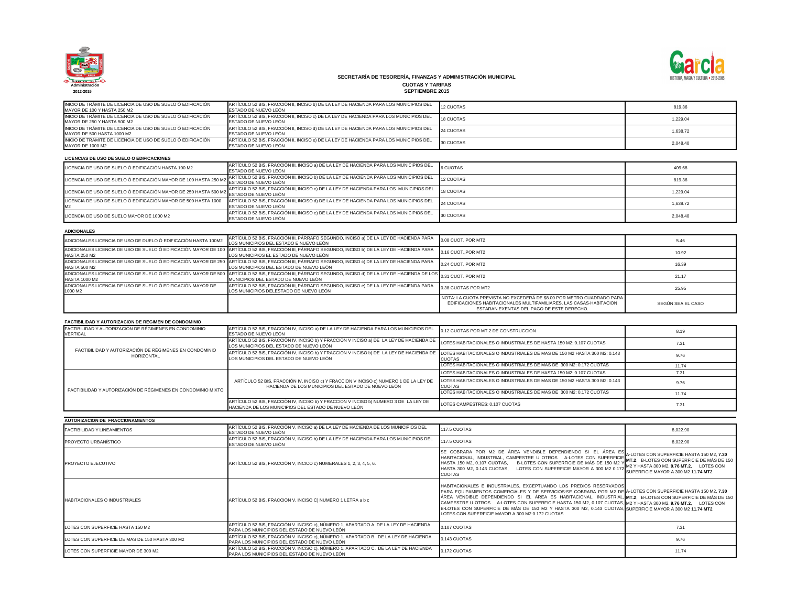

8,022.90 8,022.90 A-LOTES CON SUPERFICIE HASTA 150 M2, **7.30 MT.2**, B-LOTES CON SUPERFICIE DE MÁS DE 150 M2 Y HASTA 300 M2, **9.76 MT.2**, LOTES CON SUPERFICIE MAYOR A 300 M2 **11.74 MT2** A-LOTES CON SUPERFICIE HASTA 150 M2, **7.30 MT.2**, B-LOTES CON SUPERFICIE DE MÁS DE 150 M2 Y HASTA 300 M2, **9.76 MT.2**, LOTES CON SUPERFICIE MAYOR A 300 M2 **11.74 MT2** 7.31 9.76 11.74 SE COBRARA POR M2 DE ÁREA VENDIBLE DEPENDIENDO SI EL ÁREA ES HABITACIONAL, INDUSTRIAL, CAMPESTRE U OTROS A-LOTES CON SUPERFICIE HASTA 150 M2, 0.107 CUOTAS, B-LOTES CON SUPERFICIE DE MÁS DE 150 M2 Y HASTA 300 M2, 0.143 CUOTAS, LOTES CON SUPERFICIE MAYOR A 300 M2 0.172 STRIALES, EXCEPTUANDO LOS PREDIOS RESERVADOS PARA EQUIPAMIENTOS COMERCIALES Y DE SERVICIOS:SE COBRARA POR M2 DE ÁREA VENDIBLE DEPENDIENDO SI EL ÁREA ES HABITACIONAL, INDUSTRIAL, CAMPESTRE U OTROS A-LOTES CON SUPERFICIE HASTA 150 M2, 0.107 CUOTAS, B-LOTES CON SUPERFICIE DE MÁS DE 150 M2 Y HASTA 300 M2, 0.143 CUOTAS, AYOR A 300 M2 0.172 CUOTAS

11.74

| INICIO DE TRÁMITE DE LICENCIA DE USO DE SUELO O EDIFICACIÓN<br>IMAYOR DE 100 Y HASTA 250 M2 | ARTICULO 52 BIS, FRACCIÓN II, INCISO b) DE LA LEY DE HACIENDA PARA LOS MUNICIPIOS DEL<br><b>IESTADO DE NUEVO LEÓN</b> | <b>12 CUOTAS</b> |
|---------------------------------------------------------------------------------------------|-----------------------------------------------------------------------------------------------------------------------|------------------|
| INICIO DE TRÁMITE DE LICENCIA DE USO DE SUELO Ó EDIFICACIÓN<br>IMAYOR DE 250 Y HASTA 500 M2 | ARTÍCULO 52 BIS, FRACCIÓN II, INCISO c) DE LA LEY DE HACIENDA PARA LOS MUNICIPIOS DEL<br>ESTADO DE NUEVO LEÓN         | <b>18 CUOTAS</b> |
| INICIO DE TRÁMITE DE LICENCIA DE USO DE SUELO Ó EDIFICACIÓN<br>IMAYOR DE 500 HASTA 1000 M2  | ARTÍCULO 52 BIS, FRACCIÓN II, INCISO d) DE LA LEY DE HACIENDA PARA LOS MUNICIPIOS DEL<br>ESTADO DE NUEVO LEÓN         | 24 CUOTAS        |
| INICIO DE TRÁMITE DE LICENCIA DE USO DE SUELO Ó EDIFICACIÓN<br>MAYOR DE 1000 M2             | ARTÍCULO 52 BIS, FRACCIÓN II, INCISO e) DE LA LEY DE HACIENDA PARA LOS MUNICIPIOS DEL<br><b>ESTADO DE NUEVO LEÓN</b>  | 30 CUOTAS        |
| LICENCIAS DE USO DE SUELO O EDIFICACIONES                                                   |                                                                                                                       |                  |
| LICENCIA DE USO DE SUELO Ó EDIFICACIÓN HASTA 100 M2                                         | ARTÍCULO 52 BIS, FRACCIÓN III, INCISO a) DE LA LEY DE HACIENDA PARA LOS MUNICIPIOS DEL<br>LESTADO DE NUEVO LEÓN       | 6 CUOTAS         |

7.31

| INICIO DE TRAMITE DE LICENCIA DE USO DE SUELO O EDIFICACION<br>MAYOR DE 100 Y HASTA 250 M2 | ARTICULO 52 BIS, FRACCION II, INCISO b) DE LA LEY DE HACIENDA PARA LOS MUNICIPIOS DEL<br>ESTADO DE NUEVO LEÓN                      | <b>12 CUOTAS</b>                                                                                                                                                                         | 819.36            |
|--------------------------------------------------------------------------------------------|------------------------------------------------------------------------------------------------------------------------------------|------------------------------------------------------------------------------------------------------------------------------------------------------------------------------------------|-------------------|
| INICIO DE TRÁMITE DE LICENCIA DE USO DE SUELO Ó EDIFICACIÓN<br>MAYOR DE 250 Y HASTA 500 M2 | ARTÍCULO 52 BIS, FRACCIÓN II, INCISO c) DE LA LEY DE HACIENDA PARA LOS MUNICIPIOS DEL<br>ESTADO DE NUEVO LEÓN                      | <b>18 CUOTAS</b>                                                                                                                                                                         | 1,229.04          |
| INICIO DE TRÁMITE DE LICENCIA DE USO DE SUELO Ó EDIFICACIÓN<br>MAYOR DE 500 HASTA 1000 M2  | ARTÍCULO 52 BIS, FRACCIÓN II, INCISO d) DE LA LEY DE HACIENDA PARA LOS MUNICIPIOS DEL<br>ESTADO DE NUEVO LEÓN                      | 24 CUOTAS                                                                                                                                                                                | 1,638.72          |
| INICIO DE TRÁMITE DE LICENCIA DE USO DE SUELO Ó EDIFICACIÓN<br>MAYOR DE 1000 M2            | ARTÍCULO 52 BIS, FRACCIÓN II, INCISO e) DE LA LEY DE HACIENDA PARA LOS MUNICIPIOS DEL<br>ESTADO DE NUEVO LEÓN                      | 30 CUOTAS                                                                                                                                                                                | 2,048.40          |
| LICENCIAS DE USO DE SUELO O EDIFICACIONES                                                  |                                                                                                                                    |                                                                                                                                                                                          |                   |
| LICENCIA DE USO DE SUELO Ó EDIFICACIÓN HASTA 100 M2                                        | ARTÍCULO 52 BIS, FRACCIÓN III, INCISO a) DE LA LEY DE HACIENDA PARA LOS MUNICIPIOS DEL<br>ESTADO DE NUEVO LEÓN                     | <b>6 CUOTAS</b>                                                                                                                                                                          | 409.68            |
| LICENCIA DE USO DE SUELO Ó EDIFICACIÓN MAYOR DE 100 HASTA 250 M2                           | ARTÍCULO 52 BIS, FRACCIÓN III, INCISO b) DE LA LEY DE HACIENDA PARA LOS MUNICIPIOS DEL<br>ESTADO DE NUEVO LEÓN                     | <b>12 CUOTAS</b>                                                                                                                                                                         | 819.36            |
| LICENCIA DE USO DE SUELO Ó EDIFICACIÓN MAYOR DE 250 HASTA 500 M2                           | ARTÍCULO 52 BIS, FRACCIÓN III, INCISO c) DE LA LEY DE HACIENDA PARA LOS MUNICIPIOS DEL<br>ESTADO DE NUEVO LEÓN                     | <b>18 CUOTAS</b>                                                                                                                                                                         | 1,229.04          |
| LICENCIA DE USO DE SUELO Ó EDIFICACIÓN MAYOR DE 500 HASTA 1000<br>M <sub>2</sub>           | ARTÍCULO 52 BIS, FRACCIÓN III, INCISO d) DE LA LEY DE HACIENDA PARA LOS MUNICIPIOS DEL<br>ESTADO DE NUEVO LEÓN                     | 24 CUOTAS                                                                                                                                                                                | 1,638.72          |
| LICENCIA DE USO DE SUELO MAYOR DE 1000 M2                                                  | ARTÍCULO 52 BIS, FRACCIÓN III, INCISO e) DE LA LEY DE HACIENDA PARA LOS MUNICIPIOS DEL<br>ESTADO DE NUEVO LEÓN                     | 30 CUOTAS                                                                                                                                                                                | 2,048.40          |
| <b>ADICIONALES</b>                                                                         |                                                                                                                                    |                                                                                                                                                                                          |                   |
| ADICIONALES LICENCIA DE USO DE DUELO Ó EDIFICACIÓN HASTA 100M2                             | ARTÍCULO 52 BIS, FRACCIÓN III, PÁRRAFO SEGUNDO, INCISO a) DE LA LEY DE HACIENDA PARA<br>LOS MUNICIPIOS DEL ESTADO E NUEVO LEÓN     | 0.08 CUOT. POR MT2                                                                                                                                                                       | 5.46              |
| ADICIONALES LICENCIA DE USO DE SUELO Ó EDIFICACIÓN MAYOR DE 100<br><b>HASTA 250 M2</b>     | ARTÍCULO 52 BIS, FRACCIÓN III, PÁRRAFO SEGUNDO, INCISO b) DE LA LEY DE HACIENDA PARA<br>LOS MUNICIPIOS EL ESTADO DE NUEVO LEÓN     | 0.16 CUOT., POR MT2                                                                                                                                                                      | 10.92             |
| ADICIONALES LICENCIA DE USO DE SUELO Ó EDIFICACIÓN MAYOR DE 250<br><b>HASTA 500 M2</b>     | ARTÍCULO 52 BIS, FRACCIÓN III, PÁRRAFO SEGUNDO, INCISO c) DE LA LEY DE HACIENDA PARA<br>LOS MUNICIPIOS DEL ESTADO DE NUEVO LEÓN    | 0.24 CUOT. POR MT2                                                                                                                                                                       | 16.39             |
| ADICIONALES LICENCIA DE USO DE SUELO Ó EDIFICACIÓN MAYOR DE 500<br><b>HASTA 1000 M2</b>    | ARTÍCULO 52 BIS, FRACCIÓN III, PÁRRAFO SEGUNDO, INCISO d) DE LA LEY DE HACIENDA DE LOS<br>MUNICIPIOS DEL ESTADO DE NUEVO LEÓN      | 0.31 CUOT. POR MT2                                                                                                                                                                       | 21.17             |
| ADICIONALES LICENCIA DE USO DE SUELO Ó EDIFICACIÓN MAYOR DE<br>1000 M2                     | ARTÍCULO 52 BIS, FRACCIÓN III, PÁRRAFO SEGUNDO, INCISO e) DE LA LEY DE HACIENDA PARA<br>LOS MUNICIPIOS DELESTADO DE NUEVO LEÓN     | 0.38 CUOTAS POR MT2                                                                                                                                                                      | 25.95             |
|                                                                                            |                                                                                                                                    | NOTA: LA CUOTA PREVISTA NO EXCEDERÁ DE \$8.00 POR METRO CUADRADO PARA<br>EDIFICACIONES HABITACIONALES MULTIFAMILIARES. LAS CASAS-HABITACION<br>ESTARAN EXENTAS DEL PAGO DE ESTE DERECHO. | SEGÚN SEA EL CASO |
| <b>FACTIBILIDAD Y AUTORIZACION DE REGIMEN DE CONDOMINIO</b>                                |                                                                                                                                    |                                                                                                                                                                                          |                   |
| FACTIBILIDAD Y AUTORIZACIÓN DE RÉGIMENES EN CONDOMINIO<br><b>VERTICAL</b>                  | ARTÍCULO 52 BIS, FRACCIÓN IV, INCISO a) DE LA LEY DE HACIENDA PARA LOS MUNICIPIOS DEL<br>ESTADO DE NUEVO LEÓN                      | 0.12 CUOTAS POR MT.2 DE CONSTRUCCION                                                                                                                                                     | 8.19              |
|                                                                                            | ARTÍCULO 52 BIS, FRACCIÓN IV, INCISO b) Y FRACCION V INCISO a) DE LA LEY DE HACIENDA DE<br>LOS MUNICIPIOS DEL ESTADO DE NUEVO LEÓN | LOTES HABITACIONALES O INDUSTRIALES DE HASTA 150 M2: 0.107 CUOTAS                                                                                                                        | 7.31              |
| FACTIBILIDAD Y AUTORIZACIÓN DE RÉGIMENES EN CONDOMINIO<br>HORIZONTAL                       | ARTÍCULO 52 BIS, FRACCIÓN IV, INCISO b) Y FRACCION V INCISO b) DE LA LEY DE HACIENDA DE<br>LOS MUNICIPIOS DEL ESTADO DE NUEVO LEÓN | LOTES HABITACIONALES O INDUSTRIALES DE MAS DE 150 M2 HASTA 300 M2: 0.143<br><b>CUOTAS</b>                                                                                                | 9.76              |
|                                                                                            |                                                                                                                                    | LOTES HABITACIONALES O INDUSTRIALES DE MAS DE 300 M2: 0.172 CUOTAS                                                                                                                       | 11.74             |
|                                                                                            |                                                                                                                                    | LOTES HABITACIONALES O INDUSTRIALES DE HASTA 150 M2: 0.107 CUOTAS                                                                                                                        | 7.31              |
|                                                                                            | ARTÍCULO 52 BIS, FRACCIÓN IV, INCISO c) Y FRACCION V INCISO c) NUMERO 1 DE LA LEY DE                                               | LOTES HABITACIONALES O INDUSTRIALES DE MAS DE 150 M2 HASTA 300 M2: 0.143                                                                                                                 | 9.76              |

|     |                                                                                       | 1 LU 1 / 1 DU DE 1 1 UL 1 U LLUI 1                                                                                     |           |
|-----|---------------------------------------------------------------------------------------|------------------------------------------------------------------------------------------------------------------------|-----------|
|     | LICENCIA DE USO DE SUELO Ó EDIFICACIÓN MAYOR DE 100 HASTA 250 M2 ESTADO DE NUEVO LEÓN | , ARTÍCULO 52 BIS, FRACCIÓN III, INCISO b) DE LA LEY DE HACIENDA PARA LOS MUNICIPIOS DEL                               | 12 CUOTAS |
|     | LICENCIA DE USO DE SUELO Ó EDIFICACIÓN MAYOR DE 250 HASTA 500 M2 ESTADO DE NUEVO LEÓN | , ARTÍCULO 52 BIS, FRACCIÓN III, INCISO c) DE LA LEY DE HACIENDA PARA LOS  MUNICIPIOS DEL                              | 18 CUOTAS |
| IM2 | LICENCIA DE USO DE SUELO Ó EDIFICACIÓN MAYOR DE 500 HASTA 1000                        | ARTÍCULO 52 BIS, FRACCIÓN III, INCISO d) DE LA LEY DE HACIENDA PARA LOS MUNICIPIOS DEL<br><b>LESTADO DE NUEVO LEÓN</b> | 24 CUOTAS |
|     | ILICENCIA DE USO DE SUELO MAYOR DE 1000 M2                                            | ARTÍCULO 52 BIS, FRACCIÓN III, INCISO e) DE LA LEY DE HACIENDA PARA LOS MUNICIPIOS DEL<br><b>LESTADO DE NUEVO LEÓN</b> | 30 CUOTAS |

| <b>ADICIONALES</b> |  |
|--------------------|--|
|                    |  |
|                    |  |

| <b>FACTIBILIDAD Y LINEAMIENTOS</b>              | ARTÍCULO 52 BIS, FRACCIÓN V, INCISO a) DE LA LEY DE HACIENDA DE LOS MUNICIPIOS DEL<br>ESTADO DE NUEVO LEÓN                           | 117.5 CUOTAS                                                                                                                                                       |
|-------------------------------------------------|--------------------------------------------------------------------------------------------------------------------------------------|--------------------------------------------------------------------------------------------------------------------------------------------------------------------|
| <b>PROYECTO URBANÍSTICO</b>                     | ARTÍCULO 52 BIS, FRACCIÓN V, INCISO b) DE LA LEY DE HACIENDA PARA LOS MUNICIPIOS DEL<br>ESTADO DE NUEVO LEÓN                         | 117.5 CUOTAS                                                                                                                                                       |
| <b>PROYECTO EJECUTIVO</b>                       | ARTÍCULO 52 BIS, FRACCIÓN V, INCICO c) NUMERALES 1, 2, 3, 4, 5, 6.                                                                   | SE COBRARA POR M2 D<br>HABITACIONAL, INDUSTRIAI<br>HASTA 150 M2, 0.107 CUOT<br>HASTA 300 M2, 0.143 CUOT<br><b>CUOTAS</b>                                           |
| <b>HABITACIONALES O INDUSTRIALES</b>            | ARTÍCULO 52 BIS, FRACCION V, INCISO C) NUMERO 1 LETRA a b c                                                                          | HABITACIONALES E INDUS<br><b>PARA EQUIPAMIENTOS CO</b><br>ÁREA VENDIBLE DEPENDI<br>CAMPESTRE U OTROS A-<br><b>B-LOTES CON SUPERFICIE</b><br>OTES CON SUPERFICIE MA |
| LOTES CON SUPERFICIE HASTA 150 M2               | ARTÍCULO 52 BIS, FRACCIÓN V. INCISO c), NÚMERO 1, APARTADO A. DE LA LEY DE HACIENDA<br>PARA LOS MUNICIPIOS DEL ESTADO DE NUEVO LEÓN  | 0.107 CUOTAS                                                                                                                                                       |
| LOTES CON SUPERFICIE DE MAS DE 150 HASTA 300 M2 | ARTÍCULO 52 BIS, FRACCIÓN V. INCISO c), NÚMERO 1, APARTADO B. DE LA LEY DE HACIENDA<br>PARA LOS MUNICIPIOS DEL ESTADO DE NUEVO LEÓN  | 0.143 CUOTAS                                                                                                                                                       |
| LOTES CON SUPERFICIE MAYOR DE 300 M2            | ARTÍCULO 52 BIS, FRACCIÓN V. INCISO c), NÚMERO 1, APARTADO C.  DE LA LEY DE HACIENDA<br>PARA LOS MUNICIPIOS DEL ESTADO DE NUEVO LEÓN | 0.172 CUOTAS                                                                                                                                                       |



| FACTIBILIDAD Y AUTORIZACIÓN DE RÉGIMENES EN CONDOMINIO<br><b>VERTICAL</b> | ARTÍCULO 52 BIS, FRACCIÓN IV, INCISO a) DE LA LEY DE HACIENDA PARA LOS MUNICIPIOS DEL<br><b>LESTADO DE NUEVO LEÓN</b>                       | 0.12 CUOTAS POR MT.2 DE CONSTRUCCION                                                                                                                      |
|---------------------------------------------------------------------------|---------------------------------------------------------------------------------------------------------------------------------------------|-----------------------------------------------------------------------------------------------------------------------------------------------------------|
|                                                                           | ARTÍCULO 52 BIS, FRACCIÓN IV, INCISO b) Y FRACCION V INCISO a) DE LA LEY DE HACIENDA DE<br>LOS MUNICIPIOS DEL ESTADO DE NUEVO LEÓN          | LOTES HABITACIONALES O INDUSTRIALES DE HASTA 150 M2: 0.107 CUOTAS                                                                                         |
| FACTIBILIDAD Y AUTORIZACIÓN DE RÉGIMENES EN CONDOMINIO<br>HORIZONTAL      | ARTÍCULO 52 BIS, FRACCIÓN IV, INCISO b) Y FRACCION V INCISO b) DE LA LEY DE HACIENDA DE<br>LOS MUNICIPIOS DEL ESTADO DE NUEVO LEÓN          | LOTES HABITACIONALES O INDUSTRIALES DE MAS DE 150 M2 HASTA 300 M2:<br><b>CUOTAS</b><br>LOTES HABITACIONALES O INDUSTRIALES DE MAS DE 300 M2: 0.172 CUOTAS |
|                                                                           |                                                                                                                                             | LOTES HABITACIONALES O INDUSTRIALES DE HASTA 150 M2: 0.107 CUOTAS                                                                                         |
| FACTIBILIDAD Y AUTORIZACIÓN DE RÉGIMENES EN CONDOMINIO MIXTO              | ARTÍCULO 52 BIS, FRACCIÓN IV, INCISO c) Y FRACCION V INCISO c) NUMERO 1 DE LA LEY DE<br>HACIENDA DE LOS MUNICIPIOS DEL ESTADO DE NUEVO LEÓN | LOTES HABITACIONALES O INDUSTRIALES DE MAS DE 150 M2 HASTA 300 M2: (<br><b>CUOTAS</b>                                                                     |
|                                                                           |                                                                                                                                             | LOTES HABITACIONALES O INDUSTRIALES DE MAS DE 300 M2: 0.172 CUOTAS                                                                                        |
|                                                                           | ARTÍCULO 52 BIS, FRACCIÓN IV, INCISO b) Y FRACCION V INCISO b) NUMERO 3 DE LA LEY DE<br>HACIENDA DE LOS MUNICIPIOS DEL ESTADO DE NUEVO LEÓN | LOTES CAMPESTRES: 0.107 CUOTAS                                                                                                                            |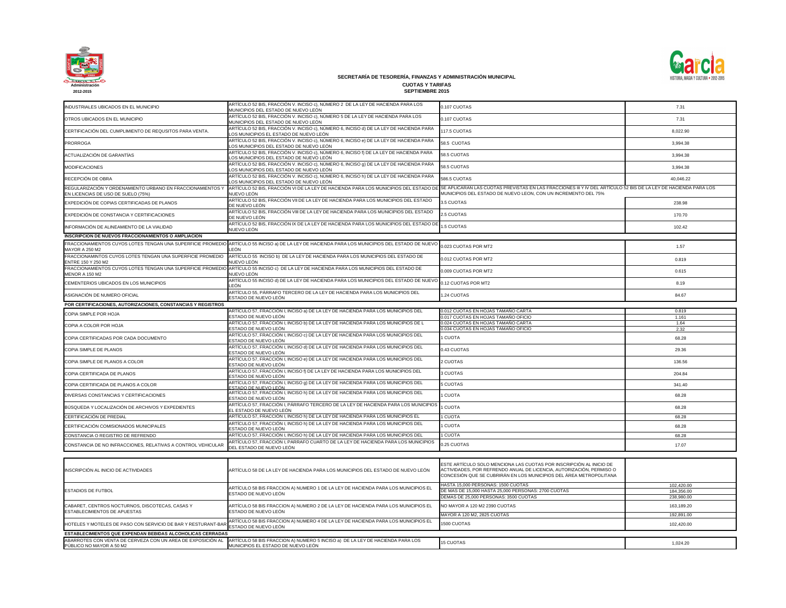

| INDUSTRIALES UBICADOS EN EL MUNICIPIO                                                            | ARTÍCULO 52 BIS, FRACCIÓN V. INCISO c), NÚMERO 2 DE LA LEY DE HACIENDA PARA LOS<br>MUNICIPIOS DEL ESTADO DE NUEVO LEÓN            | 0.107 CUOTAS                                                                                                                                               |
|--------------------------------------------------------------------------------------------------|-----------------------------------------------------------------------------------------------------------------------------------|------------------------------------------------------------------------------------------------------------------------------------------------------------|
| OTROS UBICADOS EN EL MUNICIPIO                                                                   | ARTÍCULO 52 BIS, FRACCIÓN V. INCISO c), NÚMERO 5 DE LA LEY DE HACIENDA PARA LOS<br>MUNICIPIOS DEL ESTADO DE NUEVO LEÓN            | 0.107 CUOTAS                                                                                                                                               |
| CERTIFICACIÓN DEL CUMPLIMIENTO DE REQUSITOS PARA VENTA.                                          | ARTÍCULO 52 BIS, FRACCIÓN V. INCISO c), NÚMERO 6, INCISO d) DE LA LEY DE HACIENDA PARA<br>LOS MUNICIPIOS EL ESTADO DE NUEVO LEÓN  | 117.5 CUOTAS                                                                                                                                               |
| <b>PRORROGA</b>                                                                                  | ARTÍCULO 52 BIS, FRACCIÓN V. INCISO c), NÚMERO 6, INCISO e) DE LA LEY DE HACIENDA PARA<br>LOS MUNICIPIOS DEL ESTADO DE NUEVO LEÓN | 58.5 CUOTAS                                                                                                                                                |
| ACTUALIZACIÓN DE GARANTÍAS                                                                       | ARTÍCULO 52 BIS, FRACCIÓN V. INCISO c), NÚMERO 6, INCISO 1) DE LA LEY DE HACIENDA PARA<br>LOS MUNICIPIOS DEL ESTADO DE NUEVO LEÓN | 58.5 CUOTAS                                                                                                                                                |
| <b>MODIFICACIONES</b>                                                                            | ARTÍCULO 52 BIS, FRACCIÓN V. INCISO c), NÚMERO 6, INCISO 9) DE LA LEY DE HACIENDA PARA<br>LOS MUNICIPIOS DEL ESTADO DE NUEVO LEÓN | 58.5 CUOTAS                                                                                                                                                |
| RECEPCIÓN DE OBRA                                                                                | ARTÍCULO 52 BIS, FRACCIÓN V. INCISO c), NÚMERO 6, INCISO h) DE LA LEY DE HACIENDA PARA<br>LOS MUNICIPIOS DEL ESTADO DE NUEVO LEÓN | 586.5 CUOTAS                                                                                                                                               |
| REGULARIZACIÓN Y ORDENAMIENTO URBANO EN FRACCIONAMIENTOS Y<br>EN LICENCIAS DE USO DE SUELO (75%) | ARTÍCULO 52 BIS, FRACCIÓN VI DE LA LEY DE HACIENDA PARA LOS MUNICIPIOS DEL ESTADO DE<br>NUEVO LEÓN                                | <b>SE APLICARAN LAS CUOTAS PREVISTAS EN LAS FRACCION</b><br>MUNICIPIOS DEL ESTADO DE NUEVO LEON, CON UN INCRE                                              |
| EXPEDICIÓN DE COPIAS CERTIFICADAS DE PLANOS                                                      | ARTÍCULO 52 BIS, FRACCIÓN VII DE LA LEY DE HACIENDA PARA LOS MUNICIPIOS DEL ESTADO<br>DE NUEVO LEÓN                               | 3.5 CUOTAS                                                                                                                                                 |
| EXPEDICIÓN DE CONSTANCIA Y CERTIFICACIONES                                                       | ARTÍCULO 52 BIS, FRACCIÓN VIII DE LA LEY DE HACIENDA PARA LOS MUNICIPIOS DEL ESTADO<br>DE NUEVO LEÓN                              | 2.5 CUOTAS                                                                                                                                                 |
| INFORMACIÓN DE ALINEAMIENTO DE LA VIALIDAD                                                       | ARTÍCULO 52 BIS, FRACCIÓN IX DE LA LEY DE HACIENDA PARA LOS MUNICIPIOS DEL ESTADO DE<br>NUEVO LEÓN                                | 1.5 CUOTAS                                                                                                                                                 |
| <b>INSCRIPCION DE NUEVOS FRACCIONAMIENTOS O AMPLIACION</b>                                       |                                                                                                                                   |                                                                                                                                                            |
| FRACCIONAMIENTOS CUYOS LOTES TENGAN UNA SUPERFICIE PROMEDIO<br><b>MAYOR A 250 M2</b>             | ARTÍCULO 55 INCISO a) DE LA LEY DE HACIENDA PARA LOS MUNICIPIOS DEL ESTADO DE NUEVO<br>LEÓN                                       | 0.023 CUOTAS POR MT2                                                                                                                                       |
| FRACCIONAMINTOS CUYOS LOTES TENGAN UNA SUPERFICIE PROMEDIO<br>ENTRE 150 Y 250 M2                 | ARTÍCULO 55 INCISO b) DE LA LEY DE HACIENDA PARA LOS MUNICIPIOS DEL ESTADO DE<br>NUEVO LEÓN                                       | 0.012 CUOTAS POR MT2                                                                                                                                       |
| FRACCIONAMIENTOS CUYOS LOTES TENGAN UNA SUPERFICIE PROMEDIO<br><b>MENOR A 150 M2</b>             | ARTÍCULO 55 INCISO c) DE LA LEY DE HACIENDA PARA LOS MUNICIPIOS DEL ESTADO DE<br>NUEVO LEÓN                                       | 0.009 CUOTAS POR MT2                                                                                                                                       |
| CEMENTERIOS UBICADOS EN LOS MUNICIPIOS                                                           | ARTÍCULO 55 INCISO d) DE LA LEY DE HACIENDA PARA LOS MUNICIPIOS DEL ESTADO DE NUEVO<br>LEÓN                                       | 0.12 CUOTAS POR MT2                                                                                                                                        |
| ASIGNACIÓN DE NUMERO OFICIAL                                                                     | ARTÍCULO 55, PÁRRAFO TERCERO DE LA LEY DE HACIENDA PARA LOS MUNICIPIOS DEL<br>ESTADO DE NUEVO LEÓN                                | 1.24 CUOTAS                                                                                                                                                |
| POR CERTIFICACIONES, AUTORIZACIONES, CONSTANCIAS Y REGISTROS                                     |                                                                                                                                   |                                                                                                                                                            |
| <b>COPIA SIMPLE POR HOJA</b>                                                                     | ARTÍCULO 57, FRACCIÓN I, INCISO a) DE LA LEY DE HACIENDA PARA LOS MUNICIPIOS DEL                                                  | 0.012 CUOTAS EN HOJAS TAMAÑO CARTA                                                                                                                         |
|                                                                                                  | ESTADO DE NUEVO LEÓN<br>ARTÍCULO 57, FRACCIÓN I, INCISO b) DE LA LEY DE HACIENDA PARA LOS MUNICIPIOS DE L                         | 0.017 CUOTAS EN HOJAS TAMAÑO OFICIO<br>0.024 CUOTAS EN HOJAS TAMAÑO CARTA                                                                                  |
| COPIA A COLOR POR HOJA                                                                           | ESTADO DE NUEVO LEÓN                                                                                                              | 0.034 CUOTAS EN HOJAS TAMAÑO OFICIO                                                                                                                        |
| COPIA CERTIFICADAS POR CADA DOCUMENTO                                                            | ARTÍCULO 57, FRACCIÓN I, INCISO c) DE LA LEY DE HACIENDA PARA LOS MUNICIPIOS DEL<br>ESTADO DE NUEVO LEÓN                          | 1 CUOTA                                                                                                                                                    |
| ICOPIA SIMPLE DE PLANOS                                                                          | ARTÍCULO 57, FRACCIÓN I, INCISO d) DE LA LEY DE HACIENDA PARA LOS MUNICIPIOS DEL<br>ESTADO DE NUEVO LEÓN                          | 0.43 CUOTAS                                                                                                                                                |
| COPIA SIMPLE DE PLANOS A COLOR                                                                   | ARTÍCULO 57, FRACCIÓN I, INCISO e) DE LA LEY DE HACIENDA PARA LOS MUNICIPIOS DEL<br>ESTADO DE NUEVO LEÓN                          | 2 CUOTAS                                                                                                                                                   |
| COPIA CERTIFICADA DE PLANOS                                                                      | ARTÍCULO 57, FRACCIÓN I, INCISO f) DE LA LEY DE HACIENDA PARA LOS MUNICIPIOS DEL<br>ESTADO DE NUEVO LEÓN                          | 3 CUOTAS                                                                                                                                                   |
| COPIA CERTIFICADA DE PLANOS A COLOR                                                              | ARTÍCULO 57, FRACCIÓN I, INCISO 9) DE LA LEY DE HACIENDA PARA LOS MUNICIPIOS DEL<br>ESTADO DE NUEVO LEÓN                          | <b>5 CUOTAS</b>                                                                                                                                            |
| DIVERSAS CONSTANCIAS Y CERTIFICACIONES                                                           | ARTÍCULO 57, FRACCIÓN I, INCISO h) DE LA LEY DE HACIENDA PARA LOS MUNICIPIOS DEL<br>ESTADO DE NUEVO LEÓN                          | <b>CUOTA</b>                                                                                                                                               |
| BÚSQUEDA Y LOCALIZACIÓN DE ARCHIVOS Y EXPEDIENTES                                                | ARTÍCULO 57, FRACCIÓN I, PÁRRAFO TERCERO DE LA LEY DE HACIENDA PARA LOS MUNICIPIOS<br>EL ESTADO DE NUEVO LEÓN                     | <b>CUOTA</b>                                                                                                                                               |
| CERTIFICACIÓN DE PREDIAL                                                                         | ARTÍCULO 57, FRACCIÓN I, INCISO h) DE LA LEY DE HACIENDA PARA LOS MUNICIPIOS EL                                                   | <b>CUOTA</b>                                                                                                                                               |
| CERTIFICACIÓN COMISIONADOS MUNICIPALES                                                           | ARTÍCULO 57, FRACCIÓN I, INCISO h) DE LA LEY DE HACIENDA PARA LOS MUNICIPIOS DEL<br>ESTADO DE NUEVO LEÓN                          | 1 CUOTA                                                                                                                                                    |
| CONSTANCIA O REGISTRO DE REFRENDO                                                                | ARTÍCULO 57, FRACCIÓN I, INCISO h) DE LA LEY DE HACIENDA PARA LOS MUNICIPIOS DEL                                                  | 1 CUOTA                                                                                                                                                    |
| CONSTANCIA DE NO INFRACCIONES, RELATIVAS A CONTROL VEHICULAR                                     | ARTÍCULO 57, FRACCIÓN I, PARRAFO CUARTO DE LA LEY DE HACIENDA PARA LOS MUNICIPIOS<br>DEL ESTADO DE NUEVO LEÓN                     | 0.25 CUOTAS                                                                                                                                                |
|                                                                                                  |                                                                                                                                   |                                                                                                                                                            |
| INSCRIPCIÓN AL INICIO DE ACTIVIDADES                                                             | ARTÍCULO 58 DE LA LEY DE HACIENDA PARA LOS MUNICIPIOS DEL ESTADO DE NUEVO LEÓN                                                    | ESTE ARTÍCULO SOLO MENCIONA LAS CUOTAS POR INSCF<br>ACTIVIDADES, POR REFRENDO ANUAL DE LICENCIA, AUTO<br>CONCESIÓN QUE SE CUBRIRÁN EN LOS MUNICIPIOS DEL Á |
| <b>ESTADIOS DE FUTBOL</b>                                                                        | ARTÍCULO 58 BIS FRACCION A) NUMERO 1 DE LA LEY DE HACIENDA PARA LOS MUNICIPIOS EL<br>ESTADO DE NUEVO LEÓN                         | HASTA 15,000 PERSONAS: 1500 CUOTAS<br>DE MAS DE 15,000 HASTA 25,000 PERSONAS: 2700 CUOTAS<br>DEMAS DE 25,000 PERSONAS: 3500 CUOTAS                         |
| CABARET, CENTROS NOCTURNOS, DISCOTECAS, CASAS Y<br><b>ESTABLECIMIENTOS DE APUESTAS</b>           | ARTÍCULO 58 BIS FRACCION A) NUMERO 2 DE LA LEY DE HACIENDA PARA LOS MUNICIPIOS EL<br>ESTADO DE NUEVO LEÓN                         | NO MAYOR A 120 M2 2390 CUOTAS                                                                                                                              |
| HOTELES Y MOTELES DE PASO CON SERVICIO DE BAR Y RESTURANT-BAR                                    | ARTÍCULO 58 BIS FRACCION A) NUMERO 4 DE LA LEY DE HACIENDA PARA LOS MUNICIPIOS EL                                                 | MAYOR A 120 M2, 2825 CUOTAS<br>1500 CUOTAS                                                                                                                 |
|                                                                                                  | ESTADO DE NUEVO LEÓN                                                                                                              |                                                                                                                                                            |
| <b>ESTABLECIMIENTOS QUE EXPENDAN BEBIDAS ALCOHOLICAS CERRADAS</b>                                |                                                                                                                                   |                                                                                                                                                            |
| ABARROTES CON VENTA DE CERVEZA CON UN AREA DE EXPOSICIÓN AL<br>PÚBLICO NO MAYOR A 50 M2          | ARTÍCULO 58 BIS FRACCION A) NUMERO 5 INCISO a) DE LA LEY DE HACIENDA PARA LOS<br>MUNICIPIOS EL ESTADO DE NUEVO LEÓN               | <b>15 CUOTAS</b>                                                                                                                                           |



| 0.107 CUOTAS                                                                                                                                                                                                      | 7.31          |
|-------------------------------------------------------------------------------------------------------------------------------------------------------------------------------------------------------------------|---------------|
| 0.107 CUOTAS                                                                                                                                                                                                      | 7.31          |
| 117.5 CUOTAS                                                                                                                                                                                                      | 8,022.90      |
| 58.5 CUOTAS                                                                                                                                                                                                       | 3,994.38      |
| 58.5 CUOTAS                                                                                                                                                                                                       | 3,994.38      |
| 58.5 CUOTAS                                                                                                                                                                                                       | 3,994.38      |
| 586.5 CUOTAS                                                                                                                                                                                                      | 40,046.22     |
| SE APLICARAN LAS CUOTAS PREVISTAS EN LAS FRACCIONES III Y IV DEL ARTÍCULO 52 BIS DE LA LEY DE HACIENDA PARA LOS<br>MUNICIPIOS DEL ESTADO DE NUEVO LEON, CON UN INCREMENTO DEL 75%                                 |               |
| 3.5 CUOTAS                                                                                                                                                                                                        | 238.98        |
| 2.5 CUOTAS                                                                                                                                                                                                        | 170.70        |
| 1.5 CUOTAS                                                                                                                                                                                                        | 102.42        |
|                                                                                                                                                                                                                   |               |
| 0.023 CUOTAS POR MT2                                                                                                                                                                                              | 1.57          |
| 0.012 CUOTAS POR MT2                                                                                                                                                                                              | 0.819         |
| 0.009 CUOTAS POR MT2                                                                                                                                                                                              | 0.615         |
| 0.12 CUOTAS POR MT2                                                                                                                                                                                               | 8.19          |
| 1.24 CUOTAS                                                                                                                                                                                                       | 84.67         |
|                                                                                                                                                                                                                   |               |
| 0.012 CUOTAS EN HOJAS TAMAÑO CARTA<br>0.017 CUOTAS EN HOJAS TAMAÑO OFICIO                                                                                                                                         | 0.819         |
| 0.024 CUOTAS EN HOJAS TAMAÑO CARTA                                                                                                                                                                                | 1.161<br>1.64 |
| 0.034 CUOTAS EN HOJAS TAMAÑO OFICIO                                                                                                                                                                               | 2.32          |
| 1 CUOTA                                                                                                                                                                                                           | 68.28         |
| 0.43 CUOTAS                                                                                                                                                                                                       | 29.36         |
| 2 CUOTAS                                                                                                                                                                                                          | 136.56        |
| 3 CUOTAS                                                                                                                                                                                                          | 204.84        |
| 5 CUOTAS                                                                                                                                                                                                          | 341.40        |
| 1 CUOTA                                                                                                                                                                                                           | 68.28         |
| 1 CUOTA                                                                                                                                                                                                           | 68.28         |
| 1 CUOTA                                                                                                                                                                                                           | 68.28         |
| 1 CUOTA                                                                                                                                                                                                           | 68.28         |
| 1 CUOTA                                                                                                                                                                                                           | 68.28         |
| 0.25 CUOTAS                                                                                                                                                                                                       | 17.07         |
|                                                                                                                                                                                                                   |               |
| ESTE ARTÍCULO SOLO MENCIONA LAS CUOTAS POR INSCRIPCIÓN AL INICIO DE<br>ACTIVIDADES, POR REFRENDO ANUAL DE LICENCIA, AUTORIZACIÓN, PERMISO O<br>CONCESIÓN QUE SE CUBRIRÁN EN LOS MUNICIPIOS DEL ÁREA METROPOLITANA |               |
| HASTA 15,000 PERSONAS: 1500 CUOTAS                                                                                                                                                                                | 102,420.00    |
| DE MAS DE 15,000 HASTA 25,000 PERSONAS: 2700 CUOTAS                                                                                                                                                               | 184,356.00    |
| DEMAS DE 25,000 PERSONAS: 3500 CUOTAS                                                                                                                                                                             | 238,980.00    |
| NO MAYOR A 120 M2 2390 CUOTAS                                                                                                                                                                                     | 163,189.20    |
| MAYOR A 120 M2, 2825 CUOTAS                                                                                                                                                                                       | 192,891.00    |
| 1500 CUOTAS                                                                                                                                                                                                       | 102,420.00    |
|                                                                                                                                                                                                                   |               |
| <b>15 CUOTAS</b>                                                                                                                                                                                                  | 1,024.20      |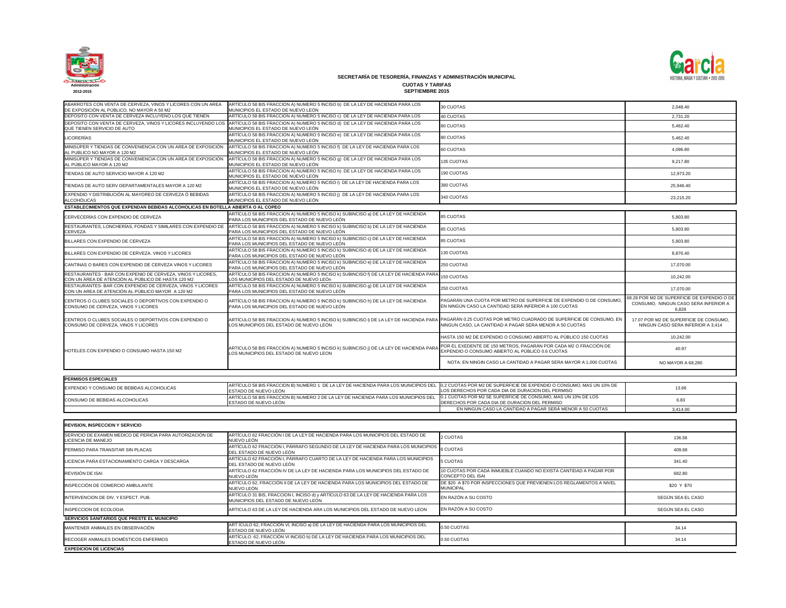

| ABARROTES CON VENTA DE CERVEZA, VINOS Y LICORES CON UN AREA<br>DE EXPOSICIÓN AL PÚBLICO, NO MAYOR A 50 M2         | ARTÍCULO 58 BIS FRACCION A) NUMERO 5 INCISO b) DE LA LEY DE HACIENDA PARA LOS<br>MUNICIPIOS EL ESTADO DE NUEVO LEÓN                                                                                | 30 CUOTAS                                                                                                                      | 2,048.40                                                                                     |
|-------------------------------------------------------------------------------------------------------------------|----------------------------------------------------------------------------------------------------------------------------------------------------------------------------------------------------|--------------------------------------------------------------------------------------------------------------------------------|----------------------------------------------------------------------------------------------|
| DEPOSITO CON VENTA DE CERVEZA INCLUYENO LOS QUE TIENEN                                                            | ARTÍCULO 58 BIS FRACCION A) NUMERO 5 INCISO c) DE LA LEY DE HACIENDA PARA LOS                                                                                                                      | 40 CUOTAS                                                                                                                      | 2,731.20                                                                                     |
| DEPOSITO CON VENTA DE CERVEZA, VINOS Y LICORES INCLUYENDO LOS<br>QUE TIENEN SERVICIO DE AUTO                      | ARTÍCULO 58 BIS FRACCION A) NUMERO 5 INCISO d) DE LA LEY DE HACIENDA PARA LOS<br>MUNICIPIOS EL ESTADO DE NUEVO LEÓN                                                                                | 80 CUOTAS                                                                                                                      | 5,462.40                                                                                     |
| <b>LICORERÍAS</b>                                                                                                 | ARTÍCULO 58 BIS FRACCION A) NUMERO 5 INCISO e) DE LA LEY DE HACIENDA PARA LOS<br>MUNICIPIOS EL ESTADO DE NUEVO LEÓN                                                                                | 80 CUOTAS                                                                                                                      | 5,462.40                                                                                     |
| MINISÚPER Y TIENDAS DE CONVENIENCIA CON UN AREA DE EXPOSICIÓN<br>AL PUBLICO NO MAYOR A 120 M2                     | ARTÍCULO 58 BIS FRACCION A) NUMERO 5 INCISO f) DE LA LEY DE HACIENDA PARA LOS<br>MUNICIPIOS EL ESTADO DE NUEVO LEÓN                                                                                | 60 CUOTAS                                                                                                                      | 4,096.80                                                                                     |
| MINISÚPER Y TIENDAS DE CONVENIENCIA CON UN AREA DE EXPOSICIÓN                                                     | ARTÍCULO 58 BIS FRACCION A) NUMERO 5 INCISO 9) DE LA LEY DE HACIENDA PARA LOS                                                                                                                      | 135 CUOTAS                                                                                                                     | 9,217.80                                                                                     |
| AL PÚBLICO MAYOR A 120 M2<br>TIENDAS DE AUTO SERVICIO MAYOR A 120 M2                                              | MUNICIPIOS EL ESTADO DE NUEVO LEÓN<br>ARTÍCULO 58 BIS FRACCION A) NUMERO 5 INCISO h) DE LA LEY DE HACIENDA PARA LOS                                                                                | 190 CUOTAS                                                                                                                     | 12,973.20                                                                                    |
| TIENDAS DE AUTO SERV DEPARTAMENTALES MAYOR A 120 M2                                                               | MUNICIPIOS EL ESTADO DE NUEVO LEÓN<br>ARTÍCULO 58 BIS FRACCION A) NUMERO 5 INCISO i) DE LA LEY DE HACIENDA PARA LOS                                                                                | 380 CUOTAS                                                                                                                     | 25,946.40                                                                                    |
| EXPENDIO Y DISTRIBUCIÓN AL MAYOREO DE CERVEZA Ó BEBIDAS                                                           | MUNICIPIOS EL ESTADO DE NUEVO LEÓN<br>ARTÍCULO 58 BIS FRACCION A) NUMERO 5 INCISO j) DE LA LEY DE HACIENDA PARA LOS                                                                                | 340 CUOTAS                                                                                                                     | 23,215.20                                                                                    |
| <b>ALCOHÓLICAS</b><br>ESTABLECIMIENTOS QUE EXPENDAN BEBIDAS ALCOHOLICAS EN BOTELLA ABIERTA O AL COPEO             | MUNICIPIOS EL ESTADO DE NUEVO LEÓN                                                                                                                                                                 |                                                                                                                                |                                                                                              |
|                                                                                                                   | ARTÍCULO 58 BIS FRACCION A) NUMERO 5 INCISO k) SUBINCISO a) DE LA LEY DE HACIENDA                                                                                                                  |                                                                                                                                |                                                                                              |
| CERVECERÍAS CON EXPENDIO DE CERVEZA                                                                               | PARA LOS MUNICIPIOS DEL ESTADO DE NUEVO LEÓN                                                                                                                                                       | <b>85 CUOTAS</b>                                                                                                               | 5,803.80                                                                                     |
| RESTAURANTES, LONCHERÍAS, FONDAS Y SIMILARES CON EXPENDIO DE<br>CERVEZA                                           | ARTÍCULO 58 BIS FRACCION A) NUMERO 5 INCISO K) SUBINCISO b) DE LA LEY DE HACIENDA<br>PARA LOS MUNICIPIOS DEL ESTADO DE NUEVO LEÓN                                                                  | <b>85 CUOTAS</b>                                                                                                               | 5,803.80                                                                                     |
| BILLARES CON EXPENDIO DE CERVEZA                                                                                  | ARTÍCULO 58 BIS FRACCION A) NUMERO 5 INCISO k) SUBINCISO c) DE LA LEY DE HACIENDA<br>PARA LOS MUNICIPIOS DEL ESTADO DE NUEVO LEÓN                                                                  | <b>85 CUOTAS</b>                                                                                                               | 5,803.80                                                                                     |
| BILLARES CON EXPENDIO DE CERVEZA. VINOS Y LICORES                                                                 | ARTÍCULO 58 BIS FRACCION A) NUMERO 5 INCISO k) SUBINCISO d) DE LA LEY DE HACIENDA<br>PARA LOS MUNICIPIOS DEL ESTADO DE NUEVO LEÓN                                                                  | 130 CUOTAS                                                                                                                     | 8,876.40                                                                                     |
| CANTINAS O BARES CON EXPENDIO DE CERVEZA VINOS Y LICORES                                                          | ARTÍCULO 58 BIS FRACCION A) NUMERO 5 INCISO k) SUBINCISO e) DE LA LEY DE HACIENDA<br>PARA LOS MUNICIPIOS DEL ESTADO DE NUEVO LEÓN                                                                  | 250 CUOTAS                                                                                                                     | 17,070.00                                                                                    |
| RESTAURANTES - BAR CON EXPENIO DE CERVEZA, VINOS Y LICORES,<br>CON UN ÁREA DE ATENCIÓN AL PÚBLICO DE HASTA 120 M2 | ARTÍCULO 58 BIS FRACCION A) NUMERO 5 INCISO k) SUBINCISO f) DE LA LEY DE HACIENDA PARA<br>LOS MUNICIPIOS DEL ESTADO DE NUEVO LEÓn                                                                  | 150 CUOTAS                                                                                                                     | 10,242.00                                                                                    |
| RESTAURANTES- BAR CON EXPENDIO DE CERVEZA, VINOS Y LICORES<br>CON UN AREA DE ATENCIÓN AL PÚBLICO MAYOR A 120 M2   | ARTÍCULO 58 BIS FRACCION A) NUMERO 5 INCISO k) SUBINCISO g) DE LA LEY DE HACIENDA<br>PARA LOS MUNICIPIOS DEL ESTADO DE NUEVO LEÓN                                                                  | 250 CUOTAS                                                                                                                     | 17,070.00                                                                                    |
| CENTROS O CLUBES SOCIALES O DEPORTIVOS CON EXPENDIO O<br>CONSUMO DE CERVEZA, VINOS Y LICORES                      | ARTÍCULO 58 BIS FRACCION A) NUMERO 5 INCISO k) SUBINCISO h) DE LA LEY DE HACIENDA<br>PARA LOS MUNICIPIOS DEL ESTADO DE NUEVO LEÓN                                                                  | PAGARÁN UNA CUOTA POR METRO DE SUPERFICIE DE EXPENDIO O DE CONSUMO<br>EN NINGÚN CASO LA CANTIDAD SERÁ INFERIOR A 100 CUOTAS    | 68.28 POR M2 DE SUPERFICIE DE EXPENDIO O DE<br>CONSUMO, NINGUN CASO SERA INFERIOR A<br>6,828 |
| CENTROS O CLUBES SOCIALES O DEPORTIVOS CON EXPENDIO O<br>CONSUMO DE CERVEZA, VINOS Y LICORES                      | ARTÍCULO 58 BIS FRACCION A) NUMERO 5 INCISO k) SUBINCISO i) DE LA LEY DE HACIENDA PARA<br>LOS MUNICIPIOS DEL ESTADO DE NUEVO LEÓN                                                                  | PAGARÁN 0.25 CUOTAS POR METRO CUADRADO DE SUPERFICIE DE CONSUMO, EN<br>NINGUN CASO, LA CANTIDAD A PAGAR SERA MENOR A 50 CUOTAS | 17.07 POR M2 DE SUPERFICIE DE CONSUMO,<br>NINGUN CASO SERA INFERIOR A 3,414                  |
|                                                                                                                   |                                                                                                                                                                                                    | HASTA 150 M2 DE EXPENDIO O CONSUMO ABIERTO AL PÚBLICO 150 CUOTAS                                                               | 10,242.00                                                                                    |
| HOTELES CON EXPENDIO O CONSUMO HASTA 150 M2                                                                       | ARTICULO 58 BIS FRACCION A) NUMERO 5 INCISO k) SUBINCISO J) DE LA LEY DE HACIENDA PARA POR EL EXEDENTE DE 150 METROS, PAGARÁN POR CADA M2 O FRACCIÓN DE<br>LOS MUNICIPIOS DEL ESTADO DE NUEVO LEON | EXPENDIO O CONSUMO ABIERTO AL PÚBLICO 0.6 CUOTAS                                                                               | 40.97                                                                                        |
|                                                                                                                   |                                                                                                                                                                                                    | NOTA: EN NINGIN CASO LA CANTIDAD A PAGAR SERA MAYOR A 1,000 CUOTAS                                                             | NO MAYOR A 68,280                                                                            |
|                                                                                                                   |                                                                                                                                                                                                    |                                                                                                                                |                                                                                              |
| <b>PERMISOS ESPECIALES</b>                                                                                        |                                                                                                                                                                                                    |                                                                                                                                |                                                                                              |
| EXPENDIO Y CONSUMO DE BEBIDAS ALCOHOLICAS                                                                         | ARTÍCULO 58 BIS FRACCION B) NUMERO 1 DE LA LEY DE HACIENDA PARA LOS MUNICIPIOS DEL<br>ESTADO DE NUEVO LEÓN                                                                                         | 0.2 CUOTAS POR M2 DE SUPERFICIE DE EXPENDIO O CONSUMO, MAS UN 10% DE<br>LOS DERECHOS POR CADA DIA DE DURACION DEL PERMISO      | 13.66                                                                                        |
| CONSUMO DE BEBIDAS ALCOHOLICAS                                                                                    | ARTÍCULO 58 BIS FRACCION B) NUMERO 2 DE LA LEY DE HACIENDA PARA LOS MUNICIPIOS DEL<br>ESTADO DE NUEVO LEÓN                                                                                         | 0.1 CUOTAS POR M2 SE SUPERFICIE DE CONSUMO, MAS UN 10% DE LOS<br>DERECHOS POR CADA DIA DE DURACION DEL PERMISO                 | 6.83                                                                                         |
|                                                                                                                   |                                                                                                                                                                                                    | EN NINGUN CASO LA CANTIDAD A PAGAR SERÁ MENOR A 50 CUOTAS                                                                      | 3,414.00                                                                                     |
|                                                                                                                   |                                                                                                                                                                                                    |                                                                                                                                |                                                                                              |
| <b>REVISION, INSPECCION Y SERVICIO</b>                                                                            |                                                                                                                                                                                                    |                                                                                                                                |                                                                                              |
| SERVICIO DE EXAMEN MEDICO DE PERICIA PARA AUTORIZACIÓN DE<br>LICENCIA DE MANEJO                                   | ARTÍCULO 62 FRACCIÓN I DE LA LEY DE HACIENDA PARA LOS MUNICIPIOS DEL ESTADO DE<br>NUEVO LEÓN                                                                                                       | 2 CUOTAS                                                                                                                       | 136.56                                                                                       |
| PERMISO PARA TRANSITAR SIN PLACAS                                                                                 | ARTÍCULO 62 FRACCIÓN I, PÁRRAFO SEGUNDO DE LA LEY DE HACIENDA PARA LOS MUNICIPIOS<br>DEL ESTADO DE NUEVO LEÓN                                                                                      | <b>6 CUOTAS</b>                                                                                                                | 409.68                                                                                       |
| LICENCIA PARA ESTACIONAMIENTO CARGA Y DESCARGA                                                                    | ARTÍCULO 62 FRACCIÓN I, PÁRRAFO CUARTO DE LA LEY DE HACIENDA PARA LOS MUNICIPIOS<br>DEL ESTADO DE NUEVO LEÓN                                                                                       | 5 CUOTAS                                                                                                                       | 341.40                                                                                       |
| REVISIÓN DE ISAI                                                                                                  | ARTÍCULO 62 FRACCIÓN IV DE LA LEY DE HACIENDA PARA LOS MUNICIPIOS DEL ESTADO DE<br>NUEVO LEÓN                                                                                                      | 10 CUOTAS POR CADA INMUEBLE CUANDO NO EXISTA CANTIDAD A PAGAR POR<br>CONCEPTO DEL ISAI                                         | 682.80                                                                                       |
| INSPECCIÓN DE COMERCIO AMBULANTE                                                                                  | ARTÍCULO 62, FRACCIÓN II DE LA LEY DE HACIENDA PARA LOS MUNICIPIOS DEL ESTADO DE<br>NUEVO LEÓN                                                                                                     | DE \$20 A \$70 POR INSPECCIONES QUE PREVIENEN LOS REGLAMENTOS A NIVEL<br><b>MUNICIPAL</b>                                      | \$20 Y \$70                                                                                  |
| INTERVENCION DE DIV. Y ESPECT. PUB.                                                                               | ARTÍCULO 31 BIS, FRACCION I, INCISO d) y ARTÍCULO 63 DE LA LEY DE HACIENDA PARA LOS<br>MUNICIPIOS DEL ESTADO DE NUEVO LEÓN                                                                         | EN RAZÓN A SU COSTO                                                                                                            | SEGÚN SEA EL CASO                                                                            |

| <b>REVISION, INSPECCION Y SERVICIO</b>                                          |                                                                                                                            |                                                                                               |                   |
|---------------------------------------------------------------------------------|----------------------------------------------------------------------------------------------------------------------------|-----------------------------------------------------------------------------------------------|-------------------|
| SERVICIO DE EXAMEN MEDICO DE PERICIA PARA AUTORIZACIÓN DE<br>LICENCIA DE MANEJO | ARTÍCULO 62 FRACCIÓN I DE LA LEY DE HACIENDA PARA LOS MUNICIPIOS DEL ESTADO DE<br>NUEVO LEÓN                               | 2 CUOTAS                                                                                      | 136.56            |
| <b>PERMISO PARA TRANSITAR SIN PLACAS</b>                                        | ARTÍCULO 62 FRACCIÓN I, PÁRRAFO SEGUNDO DE LA LEY DE HACIENDA PARA LOS MUNICIPIOS 6 CUOTAS<br>DEL ESTADO DE NUEVO LEÓN     |                                                                                               | 409.68            |
| LICENCIA PARA ESTACIONAMIENTO CARGA Y DESCARGA                                  | ARTÍCULO 62 FRACCIÓN I, PÁRRAFO CUARTO DE LA LEY DE HACIENDA PARA LOS MUNICIPIOS<br>DEL ESTADO DE NUEVO LEÓN               | 5 CUOTAS                                                                                      | 341.40            |
| REVISIÓN DE ISAI                                                                | ARTÍCULO 62 FRACCIÓN IV DE LA LEY DE HACIENDA PARA LOS MUNICIPIOS DEL ESTADO DE<br>NUEVO LEÓN                              | 10 CUOTAS POR CADA INMUEBLE CUANDO NO EXISTA CANTIDAD A PAGAR POR<br><b>CONCEPTO DEL ISAI</b> | 682.80            |
| INSPECCIÓN DE COMERCIO AMBULANTE                                                | ARTÍCULO 62, FRACCIÓN II DE LA LEY DE HACIENDA PARA LOS MUNICIPIOS DEL ESTADO DE<br>NUEVO LEÓN                             | DE \$20 A \$70 POR INSPECCIONES QUE PREVIENEN LOS REGLAMENTOS A NIVEL<br><b>MUNICIPAL</b>     | \$20 Y \$70       |
| INTERVENCION DE DIV. Y ESPECT. PUB.                                             | ARTÍCULO 31 BIS, FRACCION I, INCISO d) y ARTÍCULO 63 DE LA LEY DE HACIENDA PARA LOS<br>MUNICIPIOS DEL ESTADO DE NUEVO LEÓN | EN RAZÓN A SU COSTO                                                                           | SEGÚN SEA EL CASO |
| <b>INSPECCION DE ECOLOGIA</b>                                                   | ARTICULO 63 DE LA LEY DE HACIENDA ARA LOS MUNICIPIOS DEL ESTADO DE NUEVO LEON                                              | EN RAZÓN A SU COSTO                                                                           | SEGÚN SEA EL CASO |
| SERVICIOS SANITARIOS QUE PRESTE EL MUNICIPIO                                    |                                                                                                                            |                                                                                               |                   |
| MANTENER ANIMALES EN OBSERVACIÓN                                                | ART ÍCULO 62, FRACCIÓN VI, INCISO a) DE LA LEY DE HACIENDA PARA LOS MUNICIPIOS DEL<br><b>ESTADO DE NUEVO LEÓN</b>          | 0.50 CUOTAS                                                                                   | 34.14             |
| RECOGER ANIMALES DOMÉSTICOS ENFERMOS                                            | ARTÍCULO 62, FRACCIÓN VI INCISO b) DE LA LEY DE HACIENDA PARA LOS MUNICIPIOS DEL<br>ESTADO DE NUEVO LEÓN                   | 0.50 CUOTAS                                                                                   | 34.14             |
| <b>EXPEDICION DE LICENCIAS</b>                                                  |                                                                                                                            |                                                                                               |                   |

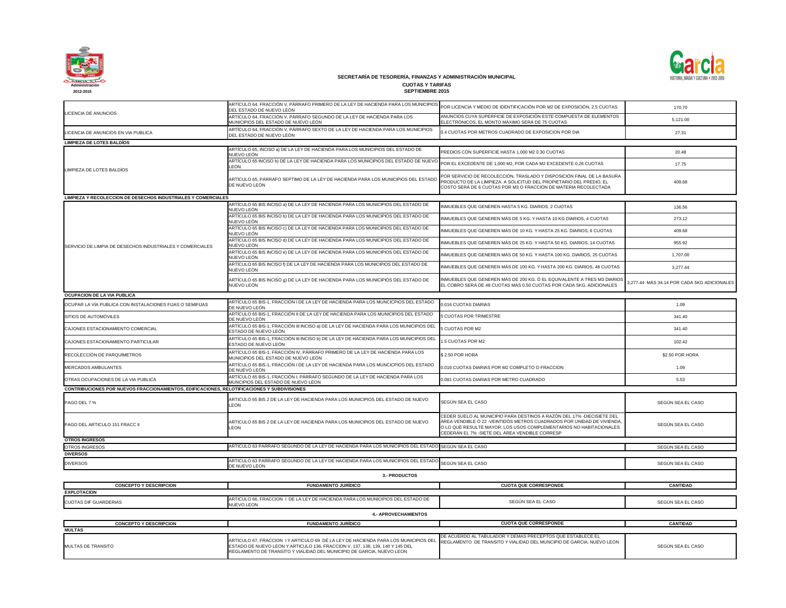

|                                                                                             | ARTÍCULO 64, FRACCIÓN V, PÁRRAFO PRIMERO DE LA LEY DE HACIENDA PARA LOS MUNICIPIOS<br>DEL ESTADO DE NUEVO LEÓN        | POR LICENCIA Y MEDIO DE IDENTIFICACIÓN POR M2 DE EXPOSICIÓN, 2.5 CUOTAS                                                                                                                                                                                                  | 170.70                                      |
|---------------------------------------------------------------------------------------------|-----------------------------------------------------------------------------------------------------------------------|--------------------------------------------------------------------------------------------------------------------------------------------------------------------------------------------------------------------------------------------------------------------------|---------------------------------------------|
| LICENCIA DE ANUNCIOS                                                                        | ARTÍCULO 64, FRACCIÓN V, PÁRRAFO SEGUNDO DE LA LEY DE HACIENDA PARA LOS<br>MUNICIPIOS DEL ESTADO DE NUEVO LEÓN        | ANUNCIOS CUYA SUPERFICIE DE EXPOSICIÓN ESTE COMPUESTA DE ELEMENTOS<br>ELECTRÓNICOS, EL MONTO MÁXIMO SERÁ DE 75 CUOTAS                                                                                                                                                    | 5,121.00                                    |
| LICENCIA DE ANUNCIOS EN VIA PUBLICA                                                         | ARTÍCULO 64, FRACCIÓN V, PÁRRAFO SEXTO DE LA LEY DE HACIENDA PARA LOS MUNICIPIOS<br>DEL ESTADO DE NUEVO LEÓN          | 0.4 CUOTAS POR METROS CUADRADO DE EXPOSICION POR DIA                                                                                                                                                                                                                     | 27.31                                       |
| <b>LIMPIEZA DE LOTES BALDÍOS</b>                                                            |                                                                                                                       |                                                                                                                                                                                                                                                                          |                                             |
|                                                                                             | ARTÍCULO 65, INCISO a) DE LA LEY DE HACIENDA PARA LOS MUNICIPIOS DEL ESTADO DE<br>NUEVO LEÓN                          | PREDIOS CON SUPERFICIE HASTA 1,000 M2 0.30 CUOTAS                                                                                                                                                                                                                        | 20.48                                       |
| LIMPIEZA DE LOTES BALDÍOS                                                                   | ARTÍCULO 65 INCISO b) DE LA LEY DE HACIENDA PARA LOS MUNICIPIOS DEL ESTADO DE NUEVO<br>LEÓN                           | POR EL EXCEDENTE DE 1,000 M2, POR CADA M2 EXCEDENTE 0.26 CUOTAS                                                                                                                                                                                                          | 17.75                                       |
|                                                                                             | ARTÍCULO 65, PÁRRAFO SEPTIMO DE LA LEY DE HACIENDA PARA LOS MUNICIPIOS DEL ESTADO<br>DE NUEVO LEÓN                    | POR SERVICIO DE RECOLECCIÓN, TRASLADO Y DISPOSICIÓN FINAL DE LA BASURA<br>PRODUCTO DE LA LIMPIEZA A SOLICITUD DEL PROPIETARIO DEL PREDIO, EL<br>COSTO SERÁ DE 6 CUOTAS POR M3 O FRACCIÓN DE MATERIA RECOLECTADA                                                          | 409.68                                      |
| <b>LIMPIEZA Y RECOLECCION DE DESECHOS INDUSTRIALES Y COMERCIALES</b>                        |                                                                                                                       |                                                                                                                                                                                                                                                                          |                                             |
|                                                                                             | ARTÍCULO 65 BIS INCISO a) DE LA LEY DE HACIENDA PARA LOS MUNICIPIOS DEL ESTADO DE<br>NUEVO LEÓN                       | INMUEBLES QUE GENEREN HASTA 5 KG. DIARIOS, 2 CUOTAS                                                                                                                                                                                                                      | 136.56                                      |
|                                                                                             | ARTÍCULO 65 BIS INCISO b) DE LA LEY DE HACIENDA PARA LOS MUNICIPIOS DEL ESTADO DE<br>NUEVO LEÓN                       | INMUEBLES QUE GENEREN MÁS DE 5 KG. Y HASTA 10 KG DIARIOS, 4 CUOTAS                                                                                                                                                                                                       | 273.12                                      |
|                                                                                             | ARTÍCULO 65 BIS INCISO c) DE LA LEY DE HACIENDA PARA LOS MUNICIPIOS DEL ESTADO DE<br>NUEVO LEÓN                       | INMUEBLES QUE GENEREN MÁS DE 10 KG. Y HASTA 25 KG. DIARIOS, 6 CUOTAS                                                                                                                                                                                                     | 409.68                                      |
| SERVICIO DE LIMPIA DE DESECHOS INDUSTRIALES Y COMERCIALES                                   | ARTÍCULO 65 BIS INCISO d) DE LA LEY DE HACIENDA PARA LOS MUNICIPIOS DEL ESTADO DE<br>NUEVO LEÓN                       | INMUEBLES QUE GENEREN MÁS DE 25 KG. Y HASTA 50 KG. DIARIOS, 14 CUOTAS                                                                                                                                                                                                    | 955.92                                      |
|                                                                                             | ARTÍCULO 65 BIS INCISO e) DE LA LEY DE HACIENDA PARA LOS MUNICIPIOS DEL ESTADO DE<br>NUEVO LEÓN                       | INMUEBLES QUE GENEREN MÁS DE 50 KG. Y HASTA 100 KG. DIARIOS, 25 CUOTAS                                                                                                                                                                                                   | 1,707.00                                    |
|                                                                                             | ARTÍCULO 65 BIS INCISO f) DE LA LEY DE HACIENDA PARA LOS MUNICIPIOS DEL ESTADO DE<br>NUEVO LEÓN                       | INMUEBLES QUE GENEREN MÁS DE 100 KG. Y HASTA 200 KG. DIARIOS, 48 CUOTAS                                                                                                                                                                                                  | 3,277.44                                    |
|                                                                                             | ARTÍCULO 65 BIS INCISO g) DE LA LEY DE HACIENDA PARA LOS MUNICIPIOS DEL ESTADO DE<br>NUEVO LEÓN                       | INMUEBLES QUE GENEREN MÁS DE 200 KG. Ó EL EQUIVALENTE A TRES M3 DIARIOS<br>EL COBRO SERÁ DE 48 CUOTAS MÁS 0.50 CUOTAS POR CADA 5KG. ADICIONALES                                                                                                                          | 3,277.44 MÁS 34.14 POR CADA 5KG ADICIONALES |
| <b>OCUPACION DE LA VIA PUBLICA</b>                                                          |                                                                                                                       |                                                                                                                                                                                                                                                                          |                                             |
| OCUPAR LA VÍA PUBLICA CON INSTALACIONES FIJAS O SEMIFIJAS                                   | ARTÍCULO 65 BIS-1, FRACCIÓN I DE LA LEY DE HACIENDA PARA LOS MUNCICPIOS DEL ESTADO<br>DE NUEVO LEÓN                   | 0.016 CUOTAS DIARIAS                                                                                                                                                                                                                                                     | 1.09                                        |
| SITIOS DE AUTOMÓVILES                                                                       | ARTÍCULO 65 BIS-1, FRACCIÓN II DE LA LEY DE HACIENDA PARA LOS MUNICIPIOS DEL ESTADO<br>DE NUEVO LEÓN                  | <b>5 CUOTAS POR TRIMESTRE</b>                                                                                                                                                                                                                                            | 341.40                                      |
| CAJONES ESTACIONAMIENTO COMERCIAL                                                           | ARTÍCULO 65 BIS-1, FRACCIÓN III INCISO a) DE LA LEY DE HACIENDA PARA LOS MUNICIPIOS DEL<br>ESTADO DE NUEVO LEÓN       | 5 CUOTAS POR M2                                                                                                                                                                                                                                                          | 341.40                                      |
| CAJONES ESTACIONAMIENTO PARTICULAR                                                          | ARTÍCULO 65 BIS-1, FRACCIÓN III INCISO b) DE LA LEY DE HACIENDA PARA LOS MUNICIPIOS DEL<br>ESTADO DE NUEVO LEÓN       | 1.5 CUOTAS POR M2                                                                                                                                                                                                                                                        | 102.42                                      |
| RECOLECCIÓN DE PARQUÍMETROS                                                                 | ARTÍCULO 65 BIS-1, FRACCIÓN IV, PÁRRAFO PRIMERO DE LA LEY DE HACIENDA PARA LOS<br>MUNICIPIOS DEL ESTADO DE NUEVO LEÓN | \$2.50 POR HORA                                                                                                                                                                                                                                                          | \$2.50 POR HORA                             |
| MERCADOS AMBULANTES                                                                         | ARTÍCULO 65 BIS-1, FRACCIÓN I DE LA LEY DE HACIENDA PARA LOS MUNCICPIOS DEL ESTADO<br>DE NUEVO LEÓN                   | 0.016 CUOTAS DIARIAS POR M2 COMPLETO O FRACCION                                                                                                                                                                                                                          | 1.09                                        |
| OTRAS OCUPACIONES DE LA VIA PUBLICA                                                         | ARTÍCULO 65 BIS-1, FRACCIÓN I, PÁRRAFO SEGUNDO DE LA LEY DE HACIENDA PARA LOS<br>MUNCIPIOS DEL ESTADO DE NUEVO LEON   | 0.081 CUOTAS DIARIAS POR METRO CUADRADO                                                                                                                                                                                                                                  | 5.53                                        |
| CONTRIBUCIONES POR NUEVOS FRACCIONAMIENTOS, EDIFICACIONES, RELOTIFICACIONES Y SUBDIVISIONES |                                                                                                                       |                                                                                                                                                                                                                                                                          |                                             |
| PAGO DEL 7 %                                                                                | ARTICULO 65 BIS 2 DE LA LEY DE HACIENDA PARA LOS MUNICIPIOS DEL ESTADO DE NUEVO<br><b>LEON</b>                        | SEGÚN SEA EL CASO                                                                                                                                                                                                                                                        | SEGÚN SEA EL CASO                           |
| <b>PAGO DEL ARTICULO 151 FRACC II</b>                                                       | ARTICULO 65 BIS 2 DE LA LEY DE HACIENDA PARA LOS MUNICIPIOS DEL ESTADO DE NUEVO<br><b>LEON</b>                        | CEDER SUELO AL MUNICIPIO PARA DESTINOS A RAZÓN DEL 17% -DIECISIETE DEL<br>ÁREA VENDIBLE Ó 22 -VEINTIDÓS METROS CUADRADOS POR UNIDAD DE VIVIENDA<br>O LO QUE RESULTE MAYOR. LOS USOS COMPLEMENTARIOS NO HABITACIONALES<br>CEDERÁN EL 7% - SIETE DEL ÁREA VENDIBLE CORRESP | SEGÚN SEA EL CASO                           |
| <b>OTROS INGRESOS</b>                                                                       |                                                                                                                       |                                                                                                                                                                                                                                                                          |                                             |
| <b>OTROS INGRESOS</b>                                                                       | ARTICULO 63 PARRAFO SEGUNDO DE LA LEY DE HACIENDA PARA LOS MUNICIPIOS DEL ESTADO SEGÚN SEA EL CASO                    |                                                                                                                                                                                                                                                                          | SEGÚN SEA EL CASO                           |
| <b>DIVERSOS</b>                                                                             |                                                                                                                       |                                                                                                                                                                                                                                                                          |                                             |
| <b>DIVERSOS</b>                                                                             | ARTICULO 63 PARRAFO SEGUNDO DE LA LEY DE HACIENDA PARA LOS MUNICIPIOS DEL ESTADO<br>DE NUEVO LEON                     | SEGÚN SEA EL CASO                                                                                                                                                                                                                                                        | SEGÚN SEA EL CASO                           |
|                                                                                             | <b>3.- PRODUCTOS</b>                                                                                                  |                                                                                                                                                                                                                                                                          |                                             |
| <b>CONCEPTO Y DESCRIPCION</b>                                                               | <b>FUNDAMENTO JURÍDICO</b>                                                                                            | <b>CUOTA QUE CORRESPONDE</b>                                                                                                                                                                                                                                             | <b>CANTIDAD</b>                             |
| <b>EXPLOTACION</b>                                                                          |                                                                                                                       |                                                                                                                                                                                                                                                                          |                                             |
| <b>CUOTAS DIF GUARDERIAS</b>                                                                | ARTICULO 66, FRACCION I DE LA LEY DE HACIENDA PARA LOS MUNICIPIOS DEL ESTADO DE<br><b>NUEVO LEON</b>                  | SEGÚN SEA EL CASO                                                                                                                                                                                                                                                        | SEGÚN SEA EL CASO                           |
|                                                                                             | <b>4.- APROVECHAMIENTOS</b>                                                                                           |                                                                                                                                                                                                                                                                          |                                             |
| <b>CONCEPTO Y DESCRIPCION</b>                                                               | <b>FUNDAMENTO JURÍDICO</b>                                                                                            | <b>CUOTA QUE CORRESPONDE</b>                                                                                                                                                                                                                                             | <b>CANTIDAD</b>                             |
| <b>MULTAS</b>                                                                               |                                                                                                                       |                                                                                                                                                                                                                                                                          |                                             |
|                                                                                             |                                                                                                                       |                                                                                                                                                                                                                                                                          |                                             |

| <b>CONCEPTO Y DESCRIPCION</b> | <b>FUNDAMENTO JURIDICO</b>                                                                           |  |
|-------------------------------|------------------------------------------------------------------------------------------------------|--|
| <b>EXPLOTACION</b>            |                                                                                                      |  |
| <b>CUOTAS DIF GUARDERIAS</b>  | ARTICULO 66, FRACCION I DE LA LEY DE HACIENDA PARA LOS MUNICIPIOS DEL ESTADO DE<br><b>NUEVO LEON</b> |  |

SEGÚN SEA EL CASO

| <b>CONCEPTO Y DESCRIPCION</b> | <b>FUNDAMENTO JURIDICO</b>                                                                                                                                                                                                                                                                                         | <b>CUOTA QUE CORRESPONDE</b>                                       |
|-------------------------------|--------------------------------------------------------------------------------------------------------------------------------------------------------------------------------------------------------------------------------------------------------------------------------------------------------------------|--------------------------------------------------------------------|
| <b>MULTAS</b>                 |                                                                                                                                                                                                                                                                                                                    |                                                                    |
| MULTAS DE TRANSITO            | ARTICULO 67, FRACCION I Y ARTICULO 69 DE LA LEY DE HACIENDA PARA LOS MUNICIPIOS DEL REGLAMENTO DE TRANSITO Y VIALIDAD DEL MUNCIPIO DE GARCIA, NUEVO LEON<br>ESTADO DE NUEVO LEON Y ARTICULO 136, FRACCION V, 137, 138, 139, 140 Y 145 DEL<br>REGLAMENTO DE TRANSITO Y VIALIDAD DEL MUNICIPIO DE GARCIA, NUEVO LEON | <b>IDE ACUERDO AL TABULADOR Y DEMAS PRECEPTOS QUE ESTABLECE EL</b> |